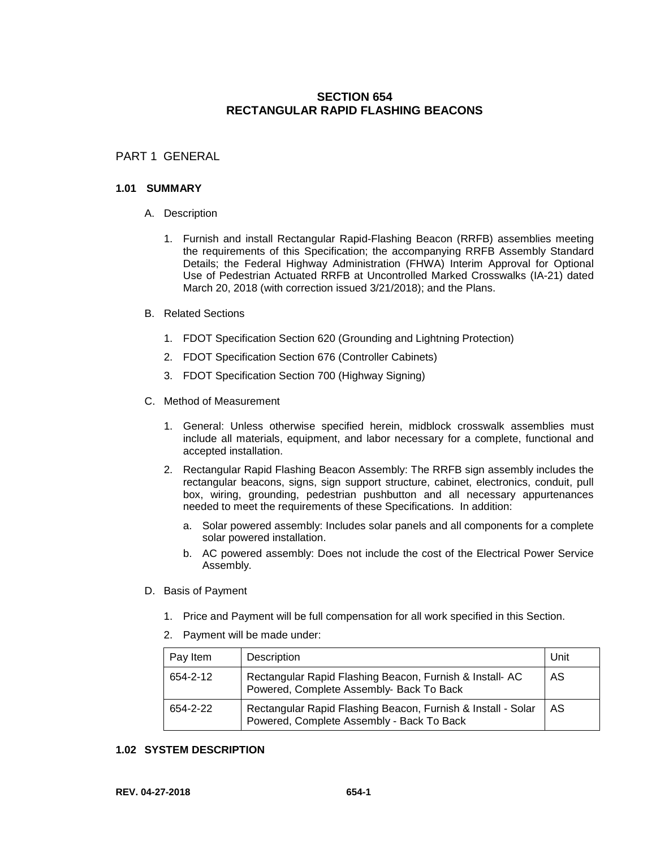# **SECTION 654 RECTANGULAR RAPID FLASHING BEACONS**

# PART 1 GENERAL

#### **1.01 SUMMARY**

- A. Description
	- 1. Furnish and install Rectangular Rapid-Flashing Beacon (RRFB) assemblies meeting the requirements of this Specification; the accompanying RRFB Assembly Standard Details; the Federal Highway Administration (FHWA) Interim Approval for Optional Use of Pedestrian Actuated RRFB at Uncontrolled Marked Crosswalks (IA-21) dated March 20, 2018 (with correction issued 3/21/2018); and the Plans.
- B. Related Sections
	- 1. FDOT Specification Section 620 (Grounding and Lightning Protection)
	- 2. FDOT Specification Section 676 (Controller Cabinets)
	- 3. FDOT Specification Section 700 (Highway Signing)
- C. Method of Measurement
	- 1. General: Unless otherwise specified herein, midblock crosswalk assemblies must include all materials, equipment, and labor necessary for a complete, functional and accepted installation.
	- 2. Rectangular Rapid Flashing Beacon Assembly: The RRFB sign assembly includes the rectangular beacons, signs, sign support structure, cabinet, electronics, conduit, pull box, wiring, grounding, pedestrian pushbutton and all necessary appurtenances needed to meet the requirements of these Specifications. In addition:
		- a. Solar powered assembly: Includes solar panels and all components for a complete solar powered installation.
		- b. AC powered assembly: Does not include the cost of the Electrical Power Service Assembly.
- D. Basis of Payment
	- 1. Price and Payment will be full compensation for all work specified in this Section.
	- 2. Payment will be made under:

| Pay Item | Description                                                                                               | Unit |
|----------|-----------------------------------------------------------------------------------------------------------|------|
| 654-2-12 | Rectangular Rapid Flashing Beacon, Furnish & Install-AC<br>Powered, Complete Assembly- Back To Back       | AS   |
| 654-2-22 | Rectangular Rapid Flashing Beacon, Furnish & Install - Solar<br>Powered, Complete Assembly - Back To Back | AS   |

## **1.02 SYSTEM DESCRIPTION**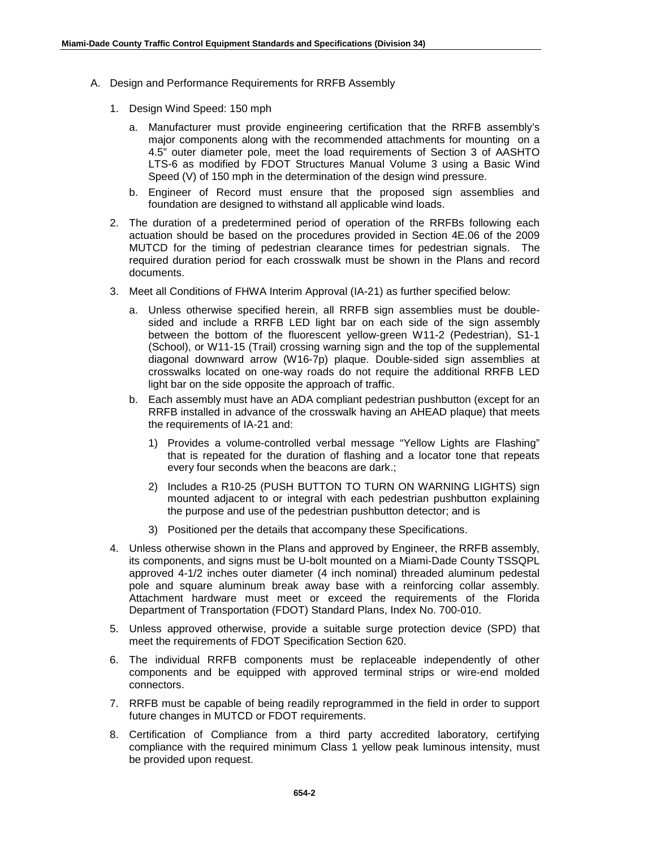- A. Design and Performance Requirements for RRFB Assembly
	- 1. Design Wind Speed: 150 mph
		- a. Manufacturer must provide engineering certification that the RRFB assembly's major components along with the recommended attachments for mounting on a 4.5" outer diameter pole, meet the load requirements of Section 3 of AASHTO LTS-6 as modified by FDOT Structures Manual Volume 3 using a Basic Wind Speed (V) of 150 mph in the determination of the design wind pressure.
		- b. Engineer of Record must ensure that the proposed sign assemblies and foundation are designed to withstand all applicable wind loads.
	- 2. The duration of a predetermined period of operation of the RRFBs following each actuation should be based on the procedures provided in Section 4E.06 of the 2009 MUTCD for the timing of pedestrian clearance times for pedestrian signals. The required duration period for each crosswalk must be shown in the Plans and record documents.
	- 3. Meet all Conditions of FHWA Interim Approval (IA-21) as further specified below:
		- a. Unless otherwise specified herein, all RRFB sign assemblies must be doublesided and include a RRFB LED light bar on each side of the sign assembly between the bottom of the fluorescent yellow-green W11-2 (Pedestrian), S1-1 (School), or W11-15 (Trail) crossing warning sign and the top of the supplemental diagonal downward arrow (W16-7p) plaque. Double-sided sign assemblies at crosswalks located on one-way roads do not require the additional RRFB LED light bar on the side opposite the approach of traffic.
		- b. Each assembly must have an ADA compliant pedestrian pushbutton (except for an RRFB installed in advance of the crosswalk having an AHEAD plaque) that meets the requirements of IA-21 and:
			- 1) Provides a volume-controlled verbal message "Yellow Lights are Flashing" that is repeated for the duration of flashing and a locator tone that repeats every four seconds when the beacons are dark.;
			- 2) Includes a R10-25 (PUSH BUTTON TO TURN ON WARNING LIGHTS) sign mounted adjacent to or integral with each pedestrian pushbutton explaining the purpose and use of the pedestrian pushbutton detector; and is
			- 3) Positioned per the details that accompany these Specifications.
	- 4. Unless otherwise shown in the Plans and approved by Engineer, the RRFB assembly, its components, and signs must be U-bolt mounted on a Miami-Dade County TSSQPL approved 4-1/2 inches outer diameter (4 inch nominal) threaded aluminum pedestal pole and square aluminum break away base with a reinforcing collar assembly. Attachment hardware must meet or exceed the requirements of the Florida Department of Transportation (FDOT) Standard Plans, Index No. 700-010.
	- 5. Unless approved otherwise, provide a suitable surge protection device (SPD) that meet the requirements of FDOT Specification Section 620.
	- 6. The individual RRFB components must be replaceable independently of other components and be equipped with approved terminal strips or wire-end molded connectors.
	- 7. RRFB must be capable of being readily reprogrammed in the field in order to support future changes in MUTCD or FDOT requirements.
	- 8. Certification of Compliance from a third party accredited laboratory, certifying compliance with the required minimum Class 1 yellow peak luminous intensity, must be provided upon request.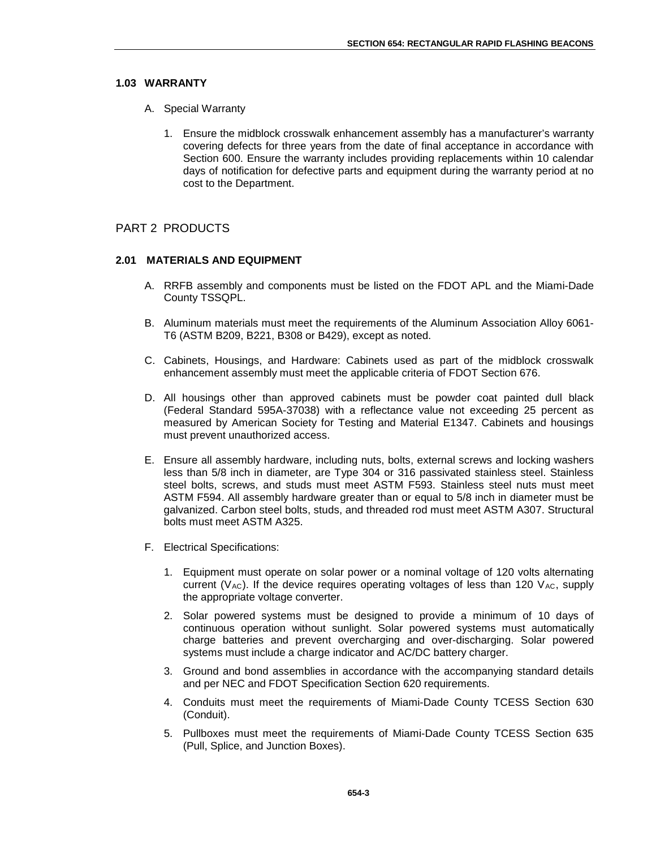#### **1.03 WARRANTY**

- A. Special Warranty
	- 1. Ensure the midblock crosswalk enhancement assembly has a manufacturer's warranty covering defects for three years from the date of final acceptance in accordance with Section 600. Ensure the warranty includes providing replacements within 10 calendar days of notification for defective parts and equipment during the warranty period at no cost to the Department.

## PART 2 PRODUCTS

#### **2.01 MATERIALS AND EQUIPMENT**

- A. RRFB assembly and components must be listed on the FDOT APL and the Miami-Dade County TSSQPL.
- B. Aluminum materials must meet the requirements of the Aluminum Association Alloy 6061- T6 (ASTM B209, B221, B308 or B429), except as noted.
- C. Cabinets, Housings, and Hardware: Cabinets used as part of the midblock crosswalk enhancement assembly must meet the applicable criteria of FDOT Section 676.
- D. All housings other than approved cabinets must be powder coat painted dull black (Federal Standard 595A-37038) with a reflectance value not exceeding 25 percent as measured by American Society for Testing and Material E1347. Cabinets and housings must prevent unauthorized access.
- E. Ensure all assembly hardware, including nuts, bolts, external screws and locking washers less than 5/8 inch in diameter, are Type 304 or 316 passivated stainless steel. Stainless steel bolts, screws, and studs must meet ASTM F593. Stainless steel nuts must meet ASTM F594. All assembly hardware greater than or equal to 5/8 inch in diameter must be galvanized. Carbon steel bolts, studs, and threaded rod must meet ASTM A307. Structural bolts must meet ASTM A325.
- F. Electrical Specifications:
	- 1. Equipment must operate on solar power or a nominal voltage of 120 volts alternating current ( $V_{AC}$ ). If the device requires operating voltages of less than 120  $V_{AC}$ , supply the appropriate voltage converter.
	- 2. Solar powered systems must be designed to provide a minimum of 10 days of continuous operation without sunlight. Solar powered systems must automatically charge batteries and prevent overcharging and over-discharging. Solar powered systems must include a charge indicator and AC/DC battery charger.
	- 3. Ground and bond assemblies in accordance with the accompanying standard details and per NEC and FDOT Specification Section 620 requirements.
	- 4. Conduits must meet the requirements of Miami-Dade County TCESS Section 630 (Conduit).
	- 5. Pullboxes must meet the requirements of Miami-Dade County TCESS Section 635 (Pull, Splice, and Junction Boxes).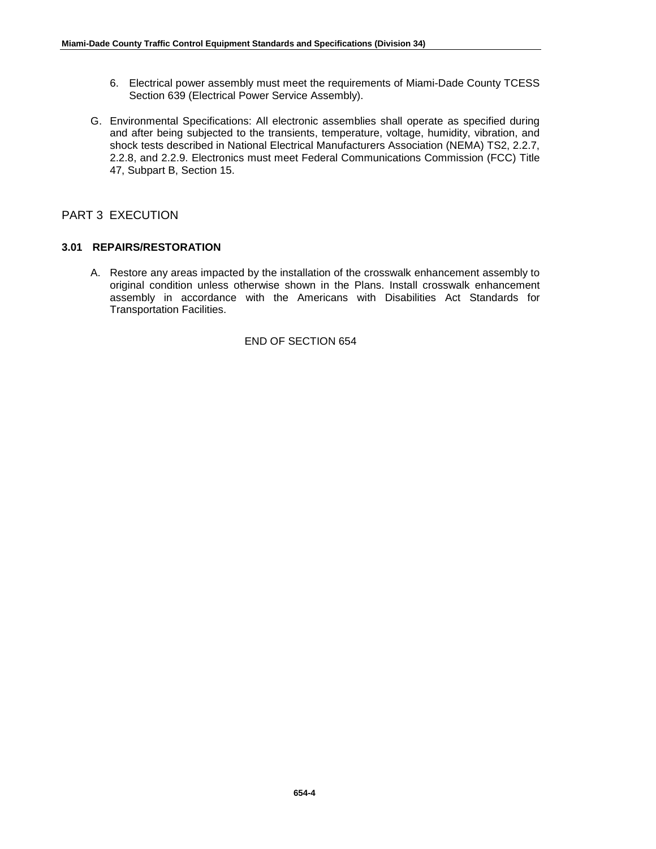- 6. Electrical power assembly must meet the requirements of Miami-Dade County TCESS Section 639 (Electrical Power Service Assembly).
- G. Environmental Specifications: All electronic assemblies shall operate as specified during and after being subjected to the transients, temperature, voltage, humidity, vibration, and shock tests described in National Electrical Manufacturers Association (NEMA) TS2, 2.2.7, 2.2.8, and 2.2.9. Electronics must meet Federal Communications Commission (FCC) Title 47, Subpart B, Section 15.

# PART 3 EXECUTION

# **3.01 REPAIRS/RESTORATION**

A. Restore any areas impacted by the installation of the crosswalk enhancement assembly to original condition unless otherwise shown in the Plans. Install crosswalk enhancement assembly in accordance with the Americans with Disabilities Act Standards for Transportation Facilities.

## END OF SECTION 654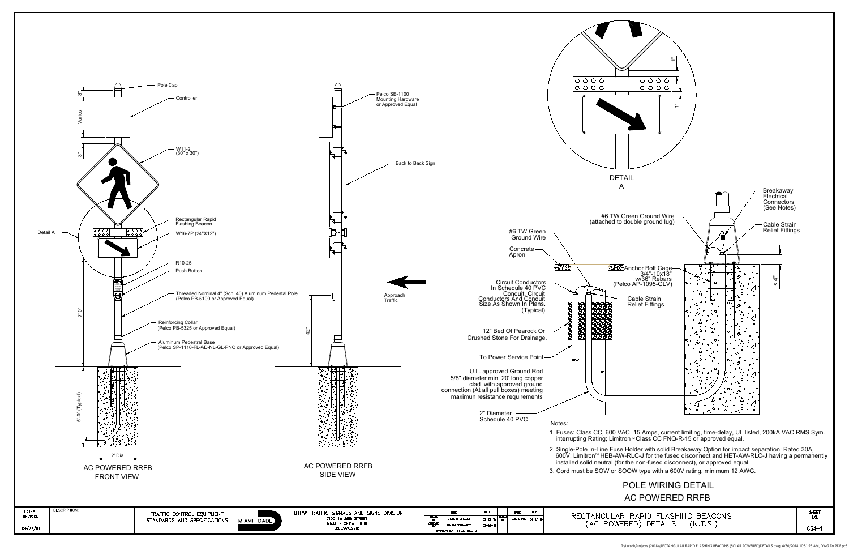

T:\Luisdi\Projects (2018)\RECTANGULAR RAPID FLASHING BEACONS (SOLAR POWERED)DETAILS.dwg, 4/30/2018 10:51:25 AM, DWG To PDF.pc3